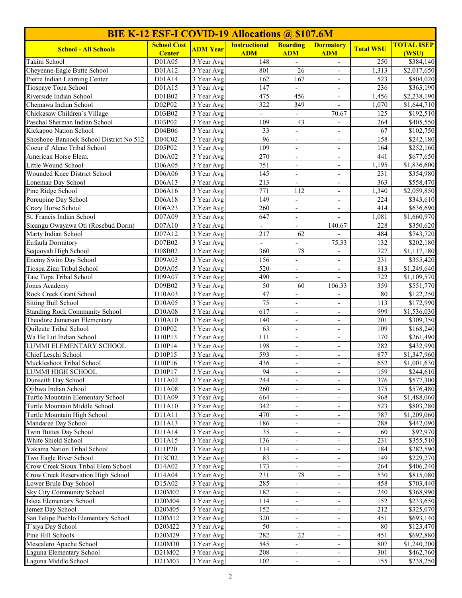| <b>BIE K-12 ESF-I COVID-19 Allocations @ \$107.6M</b>         |                                 |                                       |                          |                                                      |                                                      |                  |                            |
|---------------------------------------------------------------|---------------------------------|---------------------------------------|--------------------------|------------------------------------------------------|------------------------------------------------------|------------------|----------------------------|
| <b>School - All Schools</b>                                   | <b>School Cost</b>              | <b>ADM</b> Year                       | <b>Instructional</b>     | <b>Boarding</b>                                      | <b>Dormatory</b>                                     | <b>Total WSU</b> | <b>TOTAL ISEP</b>          |
|                                                               | <b>Center</b>                   |                                       | <b>ADM</b>               | <b>ADM</b>                                           | <b>ADM</b>                                           |                  | (WSU)                      |
| Takini School                                                 | D01A05                          | $\overline{3}$ Year Avg               | 148<br>801               |                                                      | $\overline{\phantom{a}}$                             | 250              | \$384,140                  |
| Cheyenne-Eagle Butte School                                   | D01A12<br>D01A14                | $\overline{3}$ Year Avg<br>3 Year Avg | 162                      | 26<br>167                                            | $\overline{\phantom{a}}$                             | 1,313<br>523     | \$2,017,650                |
| Pierre Indian Learning Center<br>Tiospaye Topa School         | D01A15                          | 3 Year Avg                            | 147                      | $\overline{\phantom{a}}$                             | $\mathbf{r}$                                         | 236              | \$804,020<br>\$363,190     |
| Riverside Indian School                                       | D01B02                          | 3 Year Avg                            | 475                      | 456                                                  | $\overline{\phantom{a}}$                             | 1,456            | \$2,238,190                |
| Chemawa Indian School                                         | D02P02                          | 3 Year Avg                            | 322                      | 349                                                  | $\blacksquare$                                       | 1,070            | \$1,644,710                |
| Chickasaw Children's Village                                  | D03B02                          | 3 Year Avg                            | $\overline{\phantom{a}}$ |                                                      | 70.67                                                | 125              | \$192,510                  |
| Paschal Sherman Indian School                                 | D03P02                          | 3 Year Avg                            | 109                      | 43                                                   | $\overline{\phantom{a}}$                             | 264              | \$405,550                  |
| Kickapoo Nation School                                        | D04B06                          | 3 Year Avg                            | 33                       | $\overline{\phantom{0}}$                             | $\blacksquare$                                       | 67               | \$102,750                  |
| Shoshone-Bannock School District No 512                       | D04C02                          | 3 Year Avg                            | $\overline{96}$          | $\overline{\phantom{a}}$                             | $\overline{\phantom{a}}$                             | 158              | \$242,180                  |
| Coeur d' Alene Tribal School                                  | D05P02                          | 3 Year Avg                            | 109                      | $\overline{\phantom{a}}$                             | $\overline{\phantom{a}}$                             | 164              | \$252,160                  |
| American Horse Elem.                                          | D06A02                          | 3 Year Avg                            | 270                      | $\overline{\phantom{a}}$                             | $\overline{\phantom{a}}$                             | 441              | \$677,650                  |
| Little Wound School                                           | D06A05                          | $\overline{3}$ Year Avg               | 751                      | $\overline{\phantom{a}}$                             | $\overline{\phantom{a}}$                             | 1,195            | \$1,836,600                |
| Wounded Knee District School                                  | D06A06                          | 3 Year Avg                            | 145                      | $\overline{\phantom{a}}$                             | $\blacksquare$                                       | 231              | \$354,980                  |
| Loneman Day School                                            | D06A13                          | 3 Year Avg                            | 213                      | $\overline{\phantom{a}}$                             | $\overline{\phantom{a}}$                             | 363              | \$558,470                  |
| Pine Ridge School                                             | D06A16                          | 3 Year Avg                            | 771                      | 112                                                  | $\overline{\phantom{a}}$                             | 1,340            | \$2,059,850                |
| Porcupine Day School                                          | D06A18                          | 3 Year Avg                            | 149                      | $\overline{\phantom{a}}$                             | $\overline{\phantom{a}}$                             | 224              | \$343,610                  |
| Crazy Horse School                                            | D06A23                          | 3 Year Avg                            | 260                      | $\overline{\phantom{a}}$                             | $\overline{\phantom{a}}$                             | 414              | \$636,690                  |
| St. Francis Indian School                                     | D07A09                          | 3 Year Avg                            | 647                      | $\overline{\phantom{a}}$                             | $\blacksquare$                                       | 1,081            | \$1,660,970                |
| Sicangu Owayawa Oti (Rosebud Dorm)                            | D07A10                          | 3 Year Avg                            | $\overline{\phantom{a}}$ |                                                      | 140.67                                               | 228              | \$350,620                  |
| Marty Indian School                                           | D07A12                          | 3 Year Avg                            | 217                      | 62                                                   | $\blacksquare$                                       | 484              | \$743,720                  |
| Eufaula Dormitory                                             | D07B02                          | 3 Year Avg                            |                          |                                                      | 75.33                                                | 132              | \$202,180                  |
| Sequoyah High School                                          | D08B02                          | 3 Year Avg                            | 360                      | 78                                                   |                                                      | 727              | \$1,117,180                |
| Enemy Swim Day School                                         | D09A03                          | 3 Year Avg<br>3 Year Avg              | 156                      | $\overline{a}$                                       | $\overline{\phantom{a}}$                             | 231              | $\overline{$355,420}$      |
| Tiospa Zina Tribal School<br>Tate Topa Tribal School          | D09A05<br>D09A07                | 3 Year Avg                            | 520<br>490               | $\overline{\phantom{a}}$<br>$\overline{\phantom{a}}$ | $\overline{\phantom{a}}$<br>$\blacksquare$           | 813<br>722       | \$1,249,640<br>\$1,109,570 |
| Jones Academy                                                 | D09B02                          | 3 Year Avg                            | 50                       | 60                                                   | 106.33                                               | 359              | \$551,770                  |
| Rock Creek Grant School                                       | D10A03                          | 3 Year Avg                            | 47                       | $\overline{\phantom{a}}$                             | $\overline{\phantom{a}}$                             | 80               | \$122,250                  |
| <b>Sitting Bull School</b>                                    | D10A05                          | 3 Year Avg                            | $\overline{75}$          | $\overline{\phantom{a}}$                             | $\blacksquare$                                       | 113              | \$172,990                  |
| <b>Standing Rock Community School</b>                         | D10A08                          | 3 Year Avg                            | 617                      | $\overline{\phantom{a}}$                             | $\overline{\phantom{a}}$                             | 999              | \$1,536,030                |
| Theodore Jamerson Elementary                                  | D10A10                          | 3 Year Avg                            | 140                      | $\overline{\phantom{a}}$                             | $\overline{\phantom{a}}$                             | 201              | \$309,350                  |
| Quileute Tribal School                                        | D10P02                          | 3 Year Avg                            | 63                       | $\overline{\phantom{a}}$                             | $\blacksquare$                                       | 109              | \$168,240                  |
| Wa He Lut Indian School                                       | D10P13                          | 3 Year Avg                            | 111                      | $\overline{\phantom{a}}$                             | $\overline{\phantom{a}}$                             | 170              | \$261,490                  |
| <b>LUMMI ELEMENTARY SCHOOL</b>                                | D10P14                          | 3 Year Avg                            | 198                      | $\frac{1}{2}$                                        | $\blacksquare$                                       | 282              | \$432,990                  |
| Chief Leschi School                                           | D10P15                          | 3 Year Avg                            | 593                      | $\overline{\phantom{a}}$                             | $\overline{\phantom{a}}$                             | 877              | \$1,347,960                |
| Muckleshoot Tribal School                                     | D10P16                          | 3 Year Avg                            | 436                      |                                                      |                                                      | 652              | \$1,001,630                |
| LUMMI HIGH SCHOOL                                             | D10P17                          | 3 Year Avg                            | 94                       | $\overline{\phantom{a}}$                             | $\overline{\phantom{a}}$                             | 159              | \$244,610                  |
| Dunseith Day School                                           | D11A02                          | 3 Year Avg                            | 244                      | $\overline{\phantom{a}}$                             | $\overline{\phantom{a}}$                             | 376              | \$577,300                  |
| Ojibwa Indian School                                          | D11A08                          | 3 Year Avg                            | 260                      | $\overline{\phantom{a}}$                             | $\overline{\phantom{a}}$                             | 375              | \$576,480                  |
| Turtle Mountain Elementary School                             | D11A09                          | 3 Year Avg                            | 664                      | $\overline{\phantom{a}}$                             | $\overline{\phantom{a}}$                             | 968              | \$1,488,060                |
| Turtle Mountain Middle School                                 | D11A10                          | 3 Year Avg                            | 342                      | $\overline{\phantom{a}}$                             | $\overline{\phantom{a}}$                             | 523              | \$803,280                  |
| Turtle Mountain High School                                   | D11A11                          | 3 Year Avg                            | 470                      | $\overline{\phantom{a}}$                             | $\overline{\phantom{a}}$                             | 787              | \$1,209,060                |
| Mandaree Day School                                           | D11A13                          | 3 Year Avg                            | 186                      |                                                      | $\overline{\phantom{a}}$                             | 288              | \$442,090                  |
| Twin Buttes Day School                                        | D11A14                          | 3 Year Avg                            | 35                       |                                                      |                                                      | 60               | \$92,970                   |
| White Shield School                                           | D11A15                          | 3 Year Avg                            | 136                      | $\overline{\phantom{a}}$                             | $\overline{\phantom{a}}$                             | 231              | \$355,510                  |
| Yakama Nation Tribal School                                   | D11P20                          | 3 Year Avg                            | 114                      | $\overline{\phantom{a}}$                             | $\overline{\phantom{a}}$                             | 184              | \$282,590                  |
| Two Eagle River School<br>Crow Creek Sioux Tribal Elem School | D13C02<br>D14A02                | 3 Year Avg<br>3 Year Avg              | 83<br>173                | $\overline{\phantom{a}}$                             | $\overline{\phantom{a}}$                             | 149<br>264       | \$229,270                  |
| Crow Creek Reservation High School                            | D14A04                          | 3 Year Avg                            | 231                      | -<br>78                                              | $\overline{\phantom{a}}$                             | 530              | \$406,240<br>\$815,080     |
| Lower Brule Day School                                        | D15A02                          | 3 Year Avg                            | 285                      | $\overline{\phantom{0}}$                             | $\overline{\phantom{a}}$<br>$\overline{\phantom{a}}$ | 458              | \$703,440                  |
| Sky City Community School                                     | D20M02                          | 3 Year Avg                            | 182                      | $\overline{\phantom{a}}$                             | $\overline{\phantom{a}}$                             | 240              | \$368,990                  |
| Isleta Elementary School                                      | D20M04                          | 3 Year Avg                            | 114                      | $\overline{\phantom{a}}$                             | $\overline{\phantom{a}}$                             | 152              | \$233,650                  |
| Jemez Day School                                              | D20M05                          | 3 Year Avg                            | 152                      | $\overline{\phantom{a}}$                             | $\overline{\phantom{a}}$                             | 212              | \$325,070                  |
| San Felipe Pueblo Elementary School                           | D20M12                          | 3 Year Avg                            | 320                      | $\frac{1}{2}$                                        |                                                      | 451              | \$693,140                  |
| T'siya Day School                                             | D20M22                          | 3 Year Avg                            | 50                       | $\overline{\phantom{a}}$                             | $\overline{\phantom{a}}$                             | 80               | \$123,470                  |
| Pine Hill Schools                                             | D <sub>20</sub> M <sub>29</sub> | 3 Year Avg                            | 282                      | 22                                                   | $\overline{\phantom{a}}$                             | 451              | \$692,880                  |
| Mescalero Apache School                                       | D <sub>20</sub> M <sub>30</sub> | 3 Year Avg                            | 545                      | $\overline{\phantom{a}}$                             | $\overline{\phantom{a}}$                             | 807              | \$1,240,200                |
| Laguna Elementary School                                      | D21M02                          | 3 Year Avg                            | 208                      | $\overline{\phantom{a}}$                             | $\overline{\phantom{a}}$                             | 301              | \$462,760                  |
| Laguna Middle School                                          | D21M03                          | 3 Year Avg                            | 102                      | $\overline{\phantom{a}}$                             | $\overline{\phantom{a}}$                             | 155              | \$238,250                  |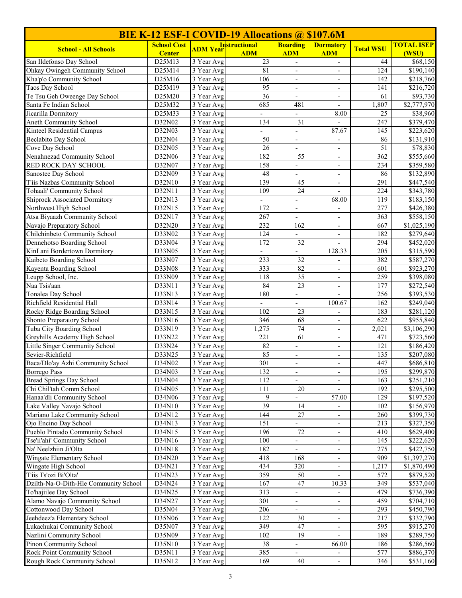| <b>BIE K-12 ESF-I COVID-19 Allocations @ \$107.6M</b> |                                     |                          |                                    |                                               |                                   |                  |                            |
|-------------------------------------------------------|-------------------------------------|--------------------------|------------------------------------|-----------------------------------------------|-----------------------------------|------------------|----------------------------|
| <b>School - All Schools</b>                           | <b>School Cost</b><br><b>Center</b> | <b>ADM Year</b>          | <b>Instructional</b><br><b>ADM</b> | <b>Boarding</b><br><b>ADM</b>                 | <b>Dormatory</b><br><b>ADM</b>    | <b>Total WSU</b> | <b>TOTAL ISEP</b><br>(WSU) |
| San Ildefonso Day School                              | D25M13                              | 3 Year Avg               | 23                                 | $\overline{\phantom{a}}$                      | $\blacksquare$                    | 44               | \$68,150                   |
| Ohkay Owingeh Community School                        | D25M14                              | $\overline{3}$ Year Avg  | 81                                 | $\overline{\phantom{a}}$                      | $\overline{\phantom{a}}$          | 124              | $\overline{$}190,140$      |
| Kha'p'o Community School                              | D25M16                              | 3 Year Avg               | 106                                | $\overline{\phantom{0}}$                      |                                   | 142              | \$218,760                  |
| Taos Day School                                       | D25M19                              | 3 Year Avg               | 95                                 | $\blacksquare$                                | $\overline{\phantom{a}}$          | 141              | \$216,720                  |
| Te Tsu Geh Oweenge Day School                         | D25M20                              | 3 Year Avg               | 36                                 | $\overline{\phantom{a}}$                      | $\overline{\phantom{a}}$          | 61               | \$93,730                   |
| Santa Fe Indian School                                | D25M32                              | 3 Year Avg               | 685                                | 481                                           | $\overline{\phantom{a}}$          | 1,807            | \$2,777,970                |
| Jicarilla Dormitory                                   | D25M33                              | 3 Year Avg               | $\overline{\phantom{a}}$           | $\overline{\phantom{0}}$                      | 8.00                              | 25               | \$38,960                   |
| Aneth Community School                                | D32N02                              | 3 Year Avg               | 134                                | 31                                            |                                   | 247              | \$379,470                  |
| Kinteel Residential Campus                            | D32N03                              | 3 Year Avg               | $\overline{a}$                     | $\overline{\phantom{a}}$                      | 87.67                             | 145              | \$223,620                  |
| Beclabito Day School                                  | D32N04                              | 3 Year Avg               | 50                                 | $\overline{\phantom{a}}$                      | $\blacksquare$                    | 86               | \$131,910                  |
| Cove Day School                                       | D32N05                              | 3 Year Avg               | 26                                 | $\overline{\phantom{a}}$                      | $\blacksquare$                    | 51               | \$78,830                   |
| Nenahnezad Community School                           | D32N06                              | 3 Year Avg               | 182                                | 55                                            | $\overline{\phantom{a}}$          | 362              | \$555,660                  |
| RED ROCK DAY SCHOOL                                   | D32N07                              | 3 Year Avg               | 158                                | $\frac{1}{2}$                                 |                                   | 234              | \$359,580                  |
| Sanostee Day School<br>T'iis Nazbas Community School  | D32N09                              | $\overline{3}$ Year Avg  | 48<br>139                          | $\frac{1}{2}$                                 | $\blacksquare$                    | 86               | \$132,890                  |
| Tohaali' Community School                             | D32N10<br>D32N11                    | 3 Year Avg<br>3 Year Avg | 109                                | 45<br>24                                      | $\blacksquare$                    | 291<br>224       | \$447,540<br>\$343,780     |
| <b>Shiprock Associated Dormitory</b>                  | D32N13                              | 3 Year Avg               |                                    |                                               | $\overline{\phantom{a}}$          | 119              | \$183,150                  |
| Northwest High School                                 | D32N15                              | 3 Year Avg               | $\overline{\phantom{a}}$<br>172    | $\overline{\phantom{0}}$                      | 68.00                             | 277              | \$426,380                  |
| Atsa Biyaazh Community School                         | D32N17                              | 3 Year Avg               | 267                                | $\qquad \qquad -$<br>$\overline{\phantom{a}}$ | $\overline{\phantom{a}}$          | 363              | \$558,150                  |
| Navajo Preparatory School                             | D32N20                              | 3 Year Avg               | 232                                | 162                                           | $\overline{\phantom{a}}$          | 667              | \$1,025,190                |
| Chilchinbeto Community School                         | D33N02                              | 3 Year Avg               | 124                                |                                               | $\overline{\phantom{a}}$          | 182              | \$279,640                  |
| Dennehotso Boarding School                            | D33N04                              | 3 Year Avg               | 172                                | 32                                            |                                   | 294              | \$452,020                  |
| KinLani Bordertown Dormitory                          | D33N05                              | 3 Year Avg               | L.                                 | $\overline{a}$                                | 128.33                            | 205              | \$315,590                  |
| Kaibeto Boarding School                               | D33N07                              | 3 Year Avg               | 233                                | $\overline{32}$                               | $\blacksquare$                    | 382              | \$587,270                  |
| Kayenta Boarding School                               | D33N08                              | 3 Year Avg               | 333                                | 82                                            | $\blacksquare$                    | 601              | \$923,270                  |
| Leupp School, Inc.                                    | D33N09                              | 3 Year Avg               | 118                                | 35                                            | $\overline{\phantom{a}}$          | 259              | \$398,080                  |
| Naa Tsis'aan                                          | D33N11                              | 3 Year Avg               | 84                                 | 23                                            | $\overline{\phantom{a}}$          | 177              | $\overline{$}272,540$      |
| Tonalea Day School                                    | D33N13                              | 3 Year Avg               | 180                                | $\overline{a}$                                |                                   | 256              | \$393,530                  |
| Richfield Residential Hall                            | D33N14                              | 3 Year Avg               | $\mathbf{r}$                       | $\overline{\phantom{0}}$                      | 100.67                            | 162              | \$249,040                  |
| Rocky Ridge Boarding School                           | D33N15                              | 3 Year Avg               | 102                                | 23                                            | $\overline{\phantom{a}}$          | 183              | \$281,120                  |
| Shonto Preparatory School                             | D33N16                              | 3 Year Avg               | 346                                | 68                                            | $\overline{\phantom{a}}$          | 622              | \$955,840                  |
| Tuba City Boarding School                             | D33N19                              | 3 Year Avg               | 1,275                              | 74                                            | $\overline{\phantom{a}}$          | 2,021            | \$3,106,290                |
| Greyhills Academy High School                         | D33N22                              | 3 Year Avg               | 221                                | 61                                            |                                   | 471              | \$723,560                  |
| Little Singer Community School                        | D33N24                              | 3 Year Avg               | 82                                 | $\blacksquare$                                | $\overline{\phantom{a}}$          | 121              | $\overline{$}186,420$      |
| Sevier-Richfield                                      | D33N25                              | 3 Year Avg               | 85                                 | $\overline{\phantom{a}}$                      | $\overline{\phantom{a}}$          | 135              | \$207,080                  |
| Baca/Dlo'ay Azhi Community School                     | D34N02                              | 3 Year Avg               | 301                                | $\overline{\phantom{a}}$                      | $\overline{\phantom{a}}$          | 447              | \$686,810                  |
| <b>Borrego Pass</b>                                   | D34N03                              | 3 Year Avg               | 132                                | $\overline{\phantom{a}}$                      | $\overline{\phantom{a}}$          | 195              | \$299,870                  |
| <b>Bread Springs Day School</b>                       | D34N04                              | 3 Year Avg               | 112                                | $\overline{\phantom{0}}$                      | $\overline{\phantom{a}}$          | 163              | \$251,210                  |
| Chi Chil'tah Comm School                              | D34N05                              | 3 Year Avg               | 111                                | $20\,$                                        | $\overline{\phantom{a}}$          | 192              | \$295,500                  |
| Hanaa'dli Community School                            | D34N06                              | 3 Year Avg               | 9                                  |                                               | 57.00                             | 129              | \$197,520                  |
| Lake Valley Navajo School                             | D34N10                              | 3 Year Avg               | $\overline{39}$                    | 14                                            |                                   | 102              | \$156,970                  |
| Mariano Lake Community School                         | D34N12                              | 3 Year Avg               | 144                                | 27                                            | $\overline{\phantom{a}}$          | 260              | \$399,730                  |
| Ojo Encino Day School                                 | D34N13                              | 3 Year Avg               | 151                                |                                               |                                   | 213              | \$327,350                  |
| Pueblo Pintado Community School                       | D34N15                              | 3 Year Avg               | 196                                | 72                                            | $\overline{\phantom{a}}$          | 410              | \$629,400                  |
| Tse'ii'ahi' Community School<br>Na' Neelzhiin Ji'Olta | D34N16<br>D34N18                    | 3 Year Avg               | 100<br>182                         | $\blacksquare$                                | $\overline{\phantom{a}}$          | 145<br>275       | \$222,620                  |
|                                                       |                                     | 3 Year Avg               |                                    | $\overline{\phantom{a}}$                      | $\overline{\phantom{a}}$          |                  | \$422,750<br>\$1,397,270   |
| Wingate Elementary School<br>Wingate High School      | D34N20<br>D34N21                    | 3 Year Avg<br>3 Year Avg | 418<br>434                         | 168<br>320                                    | $\overline{\phantom{a}}$          | 909<br>1,217     | \$1,870,490                |
| T'iis Ts'ozi Bi'Olta'                                 | D34N23                              | 3 Year Avg               | 359                                | 50                                            | $\overline{\phantom{a}}$          | 572              | \$879,520                  |
| Dzilth-Na-O-Dith-Hle Community School                 | D34N24                              | 3 Year Avg               | 167                                | 47                                            | $\overline{\phantom{a}}$<br>10.33 | 349              | \$537,040                  |
| To'hajiilee Day School                                | D34N25                              | 3 Year Avg               | 313                                | $\overline{\phantom{0}}$                      | $\overline{\phantom{a}}$          | 479              | \$736,390                  |
| Alamo Navajo Community School                         | D34N27                              | 3 Year Avg               | 301                                |                                               |                                   | 459              | \$704,710                  |
| Cottonwood Day School                                 | D35N04                              | 3 Year Avg               | 206                                |                                               |                                   | 293              | \$450,790                  |
| Jeehdeez'a Elementary School                          | D35N06                              | 3 Year Avg               | 122                                | 30                                            | $\overline{\phantom{a}}$          | 217              | \$332,790                  |
| Lukachukai Community School                           | D35N07                              | 3 Year Avg               | 349                                | 47                                            | $\overline{\phantom{a}}$          | 595              | \$915,270                  |
| Nazlini Community School                              | D35N09                              | 3 Year Avg               | 102                                | 19                                            | $\overline{\phantom{a}}$          | 189              | \$289,750                  |
| Pinon Community School                                | D35N10                              | 3 Year Avg               | 38                                 | $\overline{\phantom{a}}$                      | 66.00                             | 186              | \$286,560                  |
| Rock Point Community School                           | D35N11                              | 3 Year Avg               | 385                                | $\overline{\phantom{0}}$                      |                                   | 577              | \$886,370                  |
| Rough Rock Community School                           | D35N12                              | 3 Year Avg               | 169                                | 40                                            | $\overline{\phantom{a}}$          | 346              | \$531,160                  |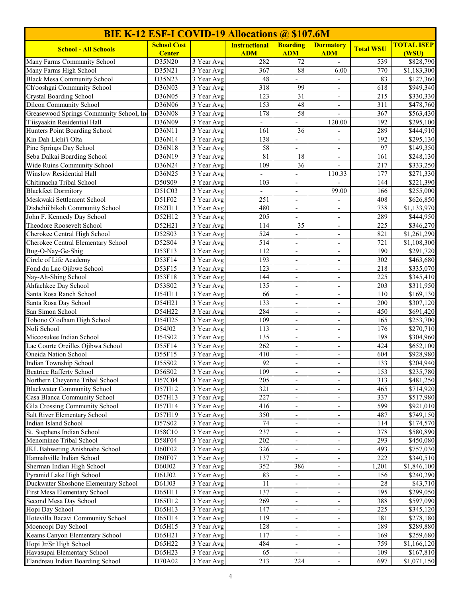| <b>BIE K-12 ESF-I COVID-19 Allocations @ \$107.6M</b>             |                    |                          |                      |                                            |                          |                  |                                    |
|-------------------------------------------------------------------|--------------------|--------------------------|----------------------|--------------------------------------------|--------------------------|------------------|------------------------------------|
| <b>School - All Schools</b>                                       | <b>School Cost</b> |                          | <b>Instructional</b> | <b>Boarding</b>                            | <b>Dormatory</b>         | <b>Total WSU</b> | <b>TOTAL ISEP</b>                  |
|                                                                   | <b>Center</b>      |                          | <b>ADM</b>           | <b>ADM</b>                                 | <b>ADM</b>               |                  | (WSU)                              |
| Many Farms Community School                                       | D35N20             | 3 Year Avg               | 282                  | 72                                         | $\blacksquare$           | 539              | \$828,790                          |
| Many Farms High School                                            | D35N21             | 3 Year Avg               | 367<br>48            | 88                                         | 6.00                     | 770<br>83        | \$1,183,300                        |
| <b>Black Mesa Community School</b><br>Ch'ooshgai Community School | D35N23<br>D36N03   | 3 Year Avg<br>3 Year Avg | 318                  | 99                                         |                          | 618              | \$127,360<br>$\overline{$949,340}$ |
| <b>Crystal Boarding School</b>                                    | D36N05             | $\overline{3}$ Year Avg  | 123                  | 31                                         | $\blacksquare$           | 215              | \$330,330                          |
| <b>Dilcon Community School</b>                                    | D36N06             | 3 Year Avg               | 153                  | $48\,$                                     | $\blacksquare$           | 311              | \$478,760                          |
| Greasewood Springs Community School, Inc                          | D36N08             | $\overline{3}$ Year Avg  | 178                  | 58                                         | $\overline{\phantom{a}}$ | 367              | \$563,430                          |
| T'iisyaakin Residential Hall                                      | D36N09             | 3 Year Avg               |                      |                                            | 120.00                   | 192              | \$295,100                          |
| Hunters Point Boarding School                                     | D36N11             | $\overline{3}$ Year Avg  | 161                  | 36                                         |                          | 289              | \$444,910                          |
| Kin Dah Lichi'i Olta                                              | D36N14             | 3 Year Avg               | 138                  | $\overline{\phantom{a}}$                   | $\overline{\phantom{a}}$ | 192              | \$295,130                          |
| Pine Springs Day School                                           | D36N18             | 3 Year Avg               | 58                   | $\overline{\phantom{0}}$                   | $\overline{\phantom{a}}$ | 97               | \$149,350                          |
| Seba Dalkai Boarding School                                       | D36N19             | 3 Year Avg               | 81                   | 18                                         | $\overline{\phantom{a}}$ | 161              | \$248,130                          |
| Wide Ruins Community School                                       | D36N24             | 3 Year Avg               | 109                  | 36                                         | $\overline{\phantom{a}}$ | 217              | \$333,250                          |
| Winslow Residential Hall                                          | D36N25             | 3 Year Avg               |                      | $\frac{1}{2}$                              | 110.33                   | $\overline{177}$ | $\overline{$271,330}$              |
| Chitimacha Tribal School                                          | D50S09             | 3 Year Avg               | 103                  | $\overline{\phantom{0}}$                   |                          | 144              | \$221,390                          |
| <b>Blackfeet Dormitory</b>                                        | D51C03             | 3 Year Avg               | $\mathcal{L}^{\pm}$  | $\frac{1}{2}$                              | 99.00                    | 166              | \$255,000                          |
| Meskwaki Settlement School                                        | D51F02             | $\overline{3}$ Year Avg  | 251                  | $\overline{\phantom{a}}$                   | $\overline{\phantom{a}}$ | 408              | \$626,850                          |
| Dishchii'bikoh Community School                                   | D52H11             | 3 Year Avg               | 480                  | $\overline{\phantom{a}}$                   | $\overline{\phantom{a}}$ | 738              | \$1,133,970                        |
| John F. Kennedy Day School                                        | D52H12             | $\overline{3}$ Year Avg  | 205                  | $\overline{\phantom{0}}$                   |                          | 289              | \$444,950                          |
| Theodore Roosevelt School                                         | D52H21             | 3 Year Avg               | 114                  | 35                                         | $\overline{\phantom{a}}$ | 225              | \$346,270                          |
| Cherokee Central High School                                      | D52S03             | 3 Year Avg               | 524                  | $\overline{\phantom{a}}$                   | $\blacksquare$           | 821              | \$1,261,290                        |
| Cherokee Central Elementary School                                | D52S04             | 3 Year Avg               | 514                  | $\overline{\phantom{a}}$                   | $\blacksquare$           | 721              | \$1,108,300                        |
| Bug-O-Nay-Ge-Shig<br>Circle of Life Academy                       | D53F13<br>D53F14   | 3 Year Avg<br>3 Year Avg | 112<br>193           | $\overline{\phantom{a}}$<br>$\overline{a}$ | $\blacksquare$           | 190<br>302       | \$291,720<br>\$463,680             |
| Fond du Lac Ojibwe School                                         | D53F15             | 3 Year Avg               | 123                  | ÷,                                         |                          | 218              | \$335,070                          |
| Nay-Ah-Shing School                                               | D53F18             | 3 Year Avg               | 144                  | $\overline{\phantom{a}}$                   | $\overline{\phantom{a}}$ | 225              | \$345,410                          |
| Ahfachkee Day School                                              | D53S02             | 3 Year Avg               | 135                  | $\overline{\phantom{a}}$                   | $\overline{\phantom{a}}$ | 203              | \$311,950                          |
| Santa Rosa Ranch School                                           | D54H11             | 3 Year Avg               | 66                   | $\overline{\phantom{a}}$                   | $\overline{\phantom{a}}$ | 110              | \$169,130                          |
| Santa Rosa Day School                                             | D54H21             | 3 Year Avg               | 133                  | $\overline{\phantom{a}}$                   | $\overline{\phantom{a}}$ | 200              | \$307,120                          |
| San Simon School                                                  | D54H22             | 3 Year Avg               | 284                  | $\overline{\phantom{a}}$                   | $\overline{\phantom{a}}$ | 450              | \$691,420                          |
| Tohono O'odham High School                                        | D54H25             | 3 Year Avg               | 109                  | $\overline{\phantom{a}}$                   | $\blacksquare$           | 165              | \$253,700                          |
| Noli School                                                       | D54J02             | 3 Year Avg               | 113                  | $\overline{\phantom{a}}$                   | $\blacksquare$           | 176              | \$270,710                          |
| Miccosukee Indian School                                          | D54S02             | $\overline{3}$ Year Avg  | 135                  | $\overline{\phantom{a}}$                   | $\blacksquare$           | 198              | \$304,960                          |
| Lac Courte Oreilles Ojibwa School                                 | D55F14             | $\overline{3}$ Year Avg  | 262                  |                                            |                          | 424              | \$652,100                          |
| Oneida Nation School                                              | D55F15             | 3 Year Avg               | 410                  | $\blacksquare$                             | $\overline{\phantom{a}}$ | 604              | \$928,980                          |
| Indian Township School                                            | D55S02             | 3 Year Avg               | 92                   |                                            |                          | 133              | \$204,940                          |
| <b>Beatrice Rafferty School</b>                                   | D56S02             | 3 Year Avg               | 109                  | $\overline{\phantom{a}}$                   | $\overline{\phantom{a}}$ | 153              | \$235,780                          |
| Northern Cheyenne Tribal School                                   | D57C04             | 3 Year Avg               | 205                  | $\overline{\phantom{a}}$                   | $\overline{\phantom{a}}$ | 313              | \$481,250                          |
| <b>Blackwater Community School</b>                                | D57H12             | 3 Year Avg               | 321                  | $\overline{\phantom{a}}$                   | $\overline{\phantom{a}}$ | 465              | \$714,920                          |
| Casa Blanca Community School                                      | D57H13             | 3 Year Avg               | 227                  | $\overline{\phantom{a}}$                   | $\overline{\phantom{a}}$ | 337              | \$517,980                          |
| Gila Crossing Community School                                    | D57H14             | 3 Year Avg               | 416                  | $\overline{\phantom{a}}$                   | $\overline{\phantom{a}}$ | 599              | \$921,010                          |
| Salt River Elementary School<br>Indian Island School              | D57H19<br>D57S02   | 3 Year Avg               | 350<br>74            | $\overline{\phantom{a}}$                   | $\overline{\phantom{a}}$ | 487<br>114       | \$749,150                          |
| St. Stephens Indian School                                        | D58C10             | 3 Year Avg<br>3 Year Avg | 237                  | $\overline{\phantom{a}}$                   | $\overline{\phantom{a}}$ | 378              | \$174,570<br>\$580,890             |
| Menominee Tribal School                                           | D58F04             | 3 Year Avg               | 202                  | $\frac{1}{2}$                              | $\overline{\phantom{a}}$ | 293              | \$450,080                          |
| JKL Bahweting Anishnabe School                                    | D60F02             | 3 Year Avg               | 326                  | $\overline{\phantom{a}}$                   | $\overline{\phantom{a}}$ | 493              | \$757,030                          |
| Hannahville Indian School                                         | D60F07             | 3 Year Avg               | 137                  | $\overline{\phantom{a}}$                   | $\overline{\phantom{a}}$ | 222              | \$340,510                          |
| Sherman Indian High School                                        | D60J02             | 3 Year Avg               | 352                  | 386                                        | $\overline{\phantom{a}}$ | 1,201            | \$1,846,100                        |
| Pyramid Lake High School                                          | D61J02             | 3 Year Avg               | 83                   | $\overline{\phantom{a}}$                   | $\overline{\phantom{a}}$ | 156              | \$240,290                          |
| Duckwater Shoshone Elementary School                              | D61J03             | 3 Year Avg               | 11                   | $\overline{\phantom{a}}$                   | $\overline{\phantom{a}}$ | 28               | \$43,710                           |
| First Mesa Elementary School                                      | D65H11             | 3 Year Avg               | 137                  | $\overline{\phantom{a}}$                   | $\overline{\phantom{a}}$ | 195              | \$299,050                          |
| Second Mesa Day School                                            | D65H12             | 3 Year Avg               | 269                  | $\overline{\phantom{a}}$                   | $\overline{\phantom{a}}$ | 388              | \$597,090                          |
| Hopi Day School                                                   | D65H13             | 3 Year Avg               | 147                  | $\overline{\phantom{a}}$                   | $\overline{\phantom{a}}$ | 225              | \$345,120                          |
| Hotevilla Bacavi Community School                                 | D65H14             | 3 Year Avg               | 119                  |                                            | $\overline{\phantom{a}}$ | 181              | \$278,180                          |
| Moencopi Day School                                               | D65H15             | 3 Year Avg               | 128                  | $\frac{1}{2}$                              | $\overline{\phantom{a}}$ | 189              | \$289,880                          |
| Keams Canyon Elementary School                                    | D65H21             | 3 Year Avg               | 117                  | $\overline{\phantom{a}}$                   | $\overline{\phantom{a}}$ | 169              | \$259,680                          |
| Hopi Jr/Sr High School                                            | D65H22             | 3 Year Avg               | 484                  | $\overline{\phantom{a}}$                   | $\overline{\phantom{a}}$ | 759              | \$1,166,120                        |
| Havasupai Elementary School                                       | D65H23             | 3 Year Avg               | 65                   | $\overline{\phantom{a}}$                   | $\overline{\phantom{a}}$ | 109              | \$167,810                          |
| Flandreau Indian Boarding School                                  | D70A02             | 3 Year Avg               | 213                  | 224                                        | $\overline{\phantom{a}}$ | 697              | \$1,071,150                        |